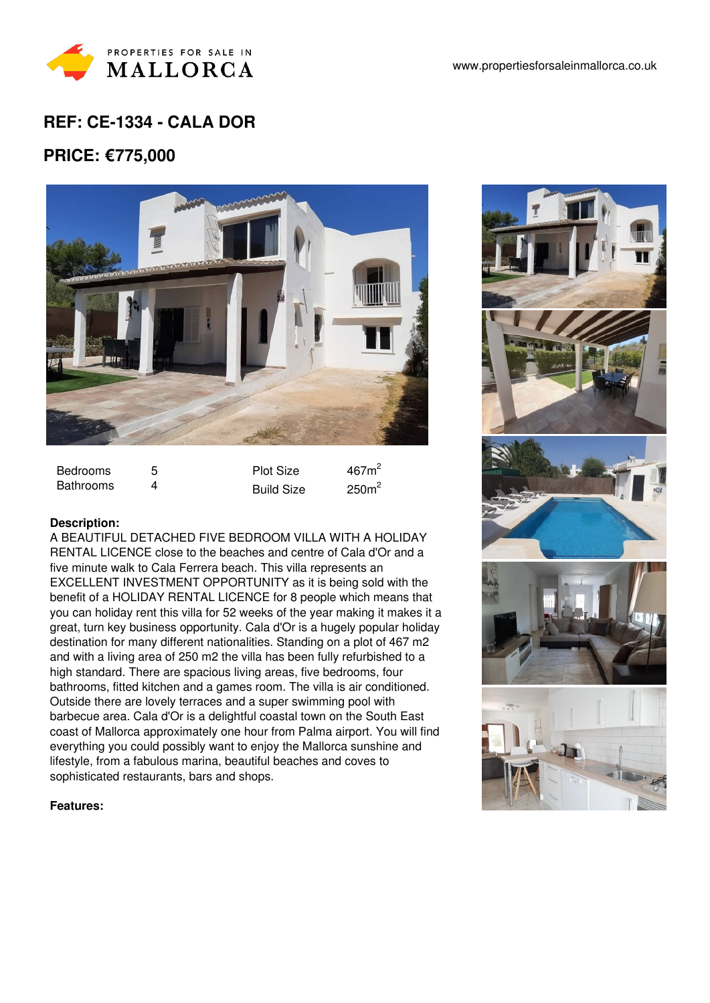

## **REF: CE-1334 - CALA DOR**

## **PRICE: €775,000**



 Bedrooms 5 Bathrooms 4 Plot Size 467m<sup>2</sup> Build Size 250m<sup>2</sup>

## **Description:**

A BEAUTIFUL DETACHED FIVE BEDROOM VILLA WITH A HOLIDAY RENTAL LICENCE close to the beaches and centre of Cala d'Or and a five minute walk to Cala Ferrera beach. This villa represents an EXCELLENT INVESTMENT OPPORTUNITY as it is being sold with the benefit of a HOLIDAY RENTAL LICENCE for 8 people which means that you can holiday rent this villa for 52 weeks of the year making it makes it a great, turn key business opportunity. Cala d'Or is a hugely popular holiday destination for many different nationalities. Standing on a plot of 467 m2 and with a living area of 250 m2 the villa has been fully refurbished to a high standard. There are spacious living areas, five bedrooms, four bathrooms, fitted kitchen and a games room. The villa is air conditioned. Outside there are lovely terraces and a super swimming pool with barbecue area. Cala d'Or is a delightful coastal town on the South East coast of Mallorca approximately one hour from Palma airport. You will find everything you could possibly want to enjoy the Mallorca sunshine and lifestyle, from a fabulous marina, beautiful beaches and coves to sophisticated restaurants, bars and shops.



## **Features:**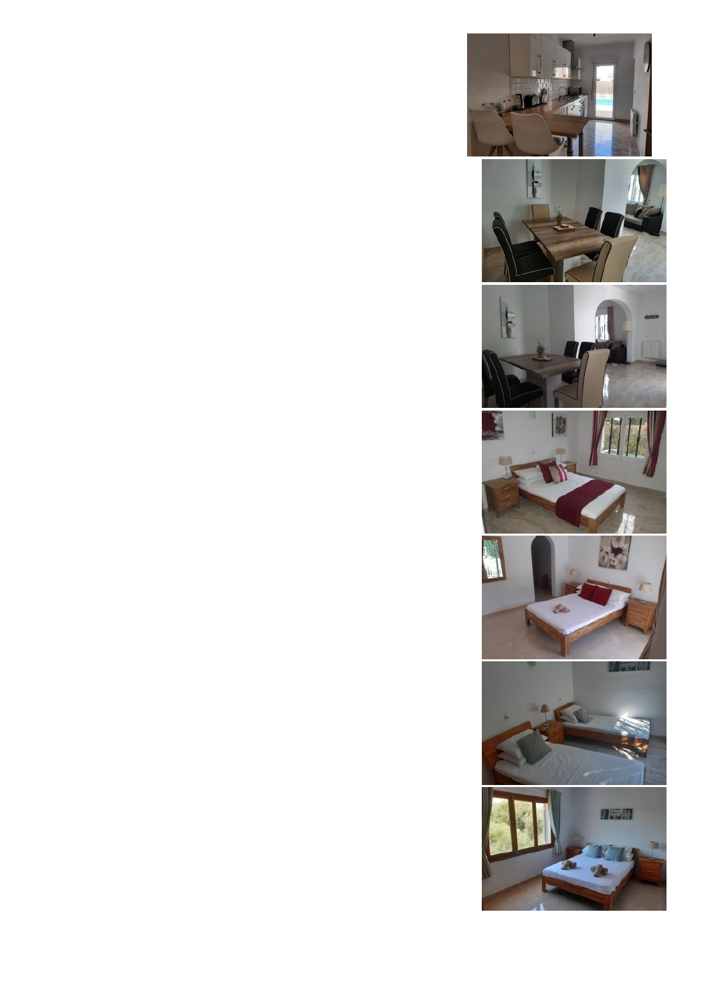